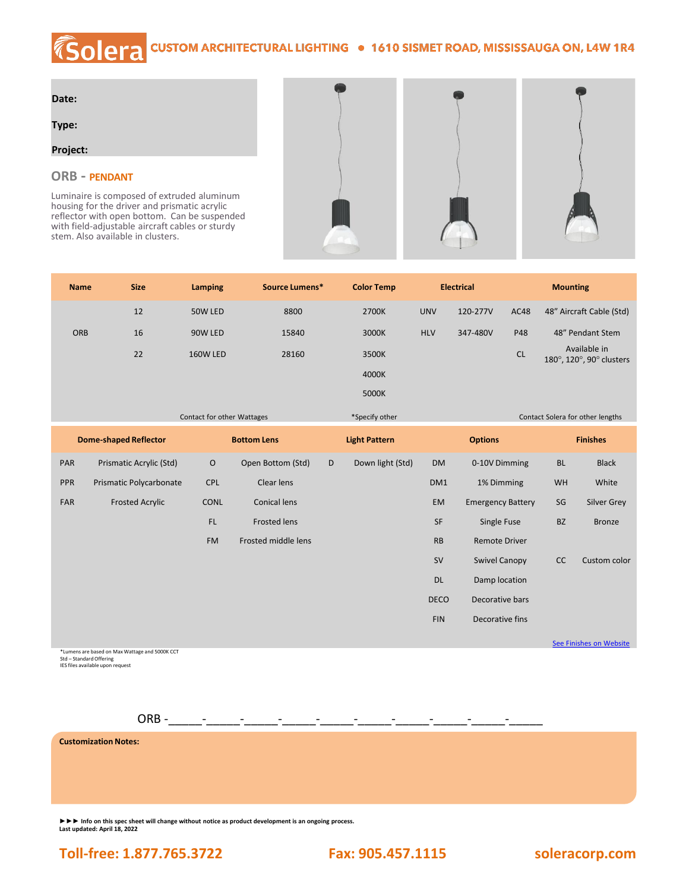## COIETA CUSTOM ARCHITECTURAL LIGHTING . 1610 SISMET ROAD, MISSISSAUGA ON, L4W 1R4

| Date: |  |
|-------|--|
|       |  |

**Type:**

## **Project:**

## **ORB - PENDANT**

Luminaire is composed of extruded aluminum housing for the driver and prismatic acrylic reflector with open bottom. Can be suspended with field-adjustable aircraft cables or sturdy stem. Also available in clusters.





| <b>Name</b>                  | <b>Size</b>             | Lamping            | Source Lumens*      |                | <b>Color Temp</b>    | <b>Electrical</b> |                          | <b>Mounting</b>                  |                                          |                    |
|------------------------------|-------------------------|--------------------|---------------------|----------------|----------------------|-------------------|--------------------------|----------------------------------|------------------------------------------|--------------------|
|                              | 12                      | 50W LED            | 8800                |                | 2700K                | <b>UNV</b>        | 120-277V<br><b>AC48</b>  |                                  | 48" Aircraft Cable (Std)                 |                    |
| ORB                          | 16                      | 90W LED            | 15840               |                | 3000K                | <b>HLV</b>        | 347-480V                 | P48                              |                                          | 48" Pendant Stem   |
|                              | 22                      | 160W LED           | 28160               |                | 3500K                |                   |                          | <b>CL</b>                        | Available in<br>180°, 120°, 90° clusters |                    |
|                              |                         |                    |                     |                | 4000K                |                   |                          |                                  |                                          |                    |
|                              |                         |                    |                     |                | 5000K                |                   |                          |                                  |                                          |                    |
| Contact for other Wattages   |                         |                    |                     | *Specify other |                      |                   |                          | Contact Solera for other lengths |                                          |                    |
| <b>Dome-shaped Reflector</b> |                         | <b>Bottom Lens</b> |                     |                | <b>Light Pattern</b> |                   | <b>Options</b>           |                                  | <b>Finishes</b>                          |                    |
| PAR                          | Prismatic Acrylic (Std) | $\circ$            | Open Bottom (Std)   | D              | Down light (Std)     | <b>DM</b>         | 0-10V Dimming            |                                  | <b>BL</b>                                | <b>Black</b>       |
| PPR                          | Prismatic Polycarbonate | <b>CPL</b>         | Clear lens          |                |                      | DM1               | 1% Dimming               |                                  | WH                                       | White              |
| FAR                          | <b>Frosted Acrylic</b>  | CONL               | <b>Conical lens</b> |                |                      | EM                | <b>Emergency Battery</b> |                                  | SG                                       | <b>Silver Grey</b> |
|                              |                         | FL.                | <b>Frosted lens</b> |                |                      | SF                | Single Fuse              |                                  | <b>BZ</b>                                | <b>Bronze</b>      |
|                              |                         | <b>FM</b>          | Frosted middle lens |                |                      | RB                | <b>Remote Driver</b>     |                                  |                                          |                    |
|                              |                         |                    |                     |                |                      | <b>SV</b>         | <b>Swivel Canopy</b>     |                                  | cc                                       | Custom color       |
|                              |                         |                    |                     |                |                      | <b>DL</b>         | Damp location            |                                  |                                          |                    |
|                              |                         |                    |                     |                |                      | <b>DECO</b>       | Decorative bars          |                                  |                                          |                    |
|                              |                         |                    |                     |                |                      | <b>FIN</b>        | Decorative fins          |                                  |                                          |                    |

**[See Finishes on Website](https://soleracorp.com/ral.html)** 

\*Lumens are based on Max Wattage and 5000K CCT Std – Standard Offering IES files available upon request

 $ORB -$ 

**Customization Notes:**

**►►► Info on this spec sheet will change without notice as product development is an ongoing process. Last updated: April 18, 2022**